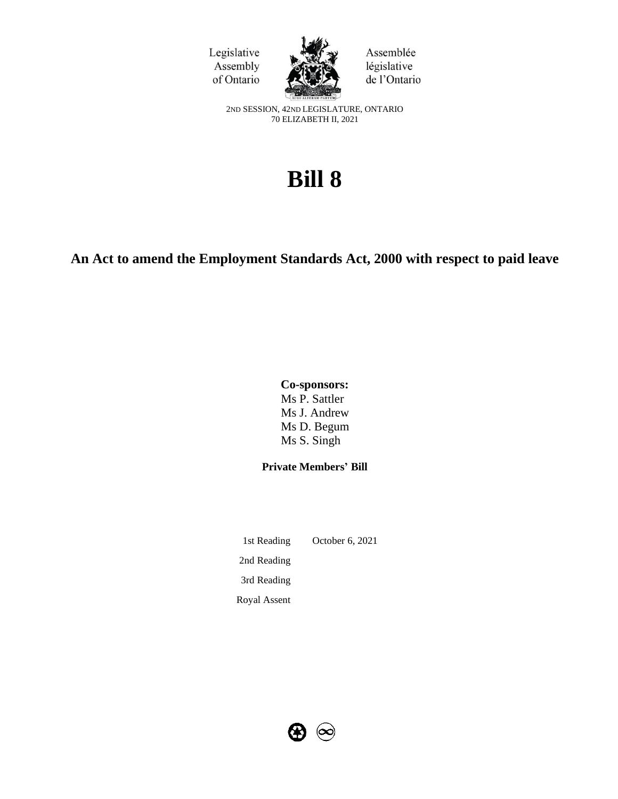



Assemblée législative de l'Ontario

2ND SESSION, 42ND LEGISLATURE, ONTARIO 70 ELIZABETH II, 2021

# **Bill 8**

# **An Act to amend the Employment Standards Act, 2000 with respect to paid leave**

# **Co-sponsors:** Ms P. Sattler Ms J. Andrew Ms D. Begum

Ms S. Singh

# **Private Members' Bill**

1st Reading October 6, 2021 2nd Reading 3rd Reading Royal Assent

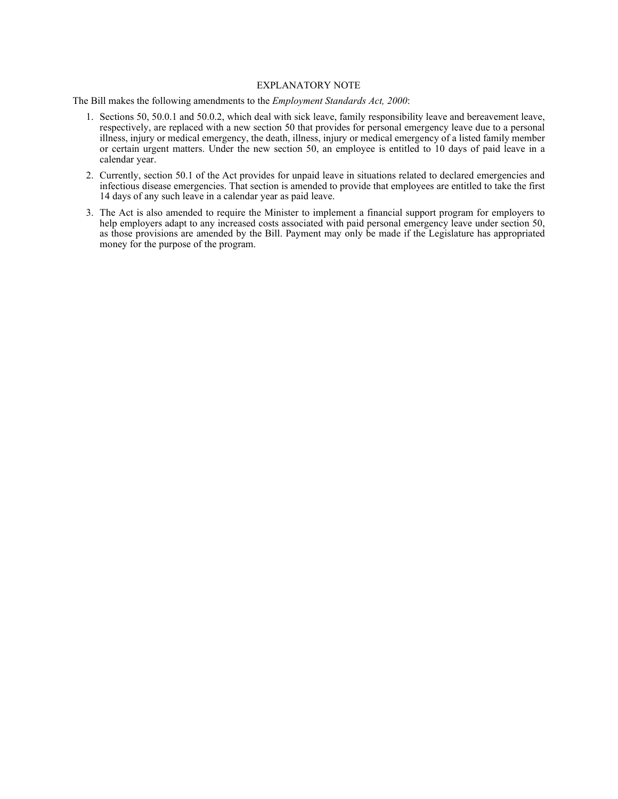#### EXPLANATORY NOTE

The Bill makes the following amendments to the *Employment Standards Act, 2000*:

- 1. Sections 50, 50.0.1 and 50.0.2, which deal with sick leave, family responsibility leave and bereavement leave, respectively, are replaced with a new section 50 that provides for personal emergency leave due to a personal illness, injury or medical emergency, the death, illness, injury or medical emergency of a listed family member or certain urgent matters. Under the new section 50, an employee is entitled to 10 days of paid leave in a calendar year.
- 2. Currently, section 50.1 of the Act provides for unpaid leave in situations related to declared emergencies and infectious disease emergencies. That section is amended to provide that employees are entitled to take the first 14 days of any such leave in a calendar year as paid leave.
- 3. The Act is also amended to require the Minister to implement a financial support program for employers to help employers adapt to any increased costs associated with paid personal emergency leave under section 50, as those provisions are amended by the Bill. Payment may only be made if the Legislature has appropriated money for the purpose of the program.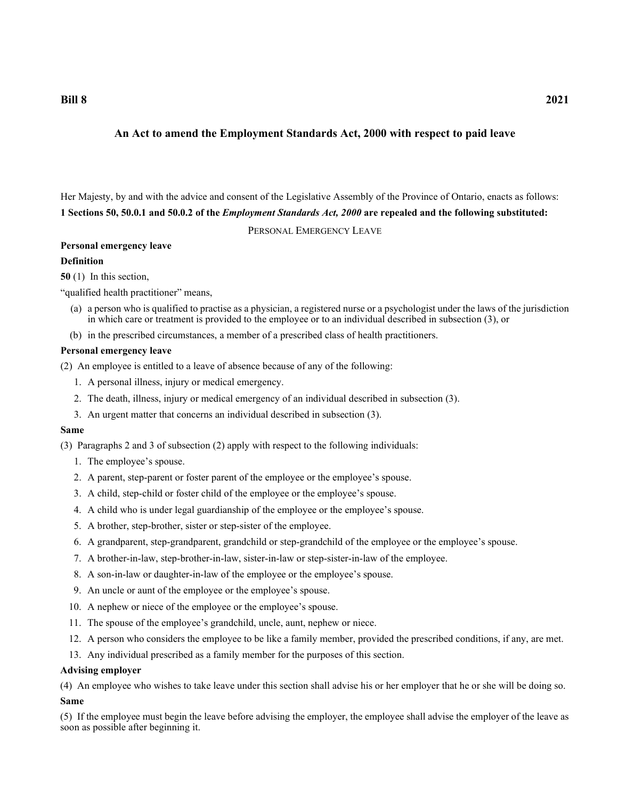**Bill 8 2021**

# **An Act to amend the Employment Standards Act, 2000 with respect to paid leave**

Her Majesty, by and with the advice and consent of the Legislative Assembly of the Province of Ontario, enacts as follows: **1 Sections 50, 50.0.1 and 50.0.2 of the** *Employment Standards Act, 2000* **are repealed and the following substituted:**

PERSONAL EMERGENCY LEAVE

# **Personal emergency leave**

# **Definition**

**50** (1) In this section,

"qualified health practitioner" means,

- (a) a person who is qualified to practise as a physician, a registered nurse or a psychologist under the laws of the jurisdiction in which care or treatment is provided to the employee or to an individual described in subsection (3), or
- (b) in the prescribed circumstances, a member of a prescribed class of health practitioners.

## **Personal emergency leave**

(2) An employee is entitled to a leave of absence because of any of the following:

- 1. A personal illness, injury or medical emergency.
- 2. The death, illness, injury or medical emergency of an individual described in subsection (3).
- 3. An urgent matter that concerns an individual described in subsection (3).

#### **Same**

(3) Paragraphs 2 and 3 of subsection (2) apply with respect to the following individuals:

- 1. The employee's spouse.
- 2. A parent, step-parent or foster parent of the employee or the employee's spouse.
- 3. A child, step-child or foster child of the employee or the employee's spouse.
- 4. A child who is under legal guardianship of the employee or the employee's spouse.
- 5. A brother, step-brother, sister or step-sister of the employee.
- 6. A grandparent, step-grandparent, grandchild or step-grandchild of the employee or the employee's spouse.
- 7. A brother-in-law, step-brother-in-law, sister-in-law or step-sister-in-law of the employee.
- 8. A son-in-law or daughter-in-law of the employee or the employee's spouse.
- 9. An uncle or aunt of the employee or the employee's spouse.
- 10. A nephew or niece of the employee or the employee's spouse.
- 11. The spouse of the employee's grandchild, uncle, aunt, nephew or niece.
- 12. A person who considers the employee to be like a family member, provided the prescribed conditions, if any, are met.
- 13. Any individual prescribed as a family member for the purposes of this section.

#### **Advising employer**

(4) An employee who wishes to take leave under this section shall advise his or her employer that he or she will be doing so.

#### **Same**

(5) If the employee must begin the leave before advising the employer, the employee shall advise the employer of the leave as soon as possible after beginning it.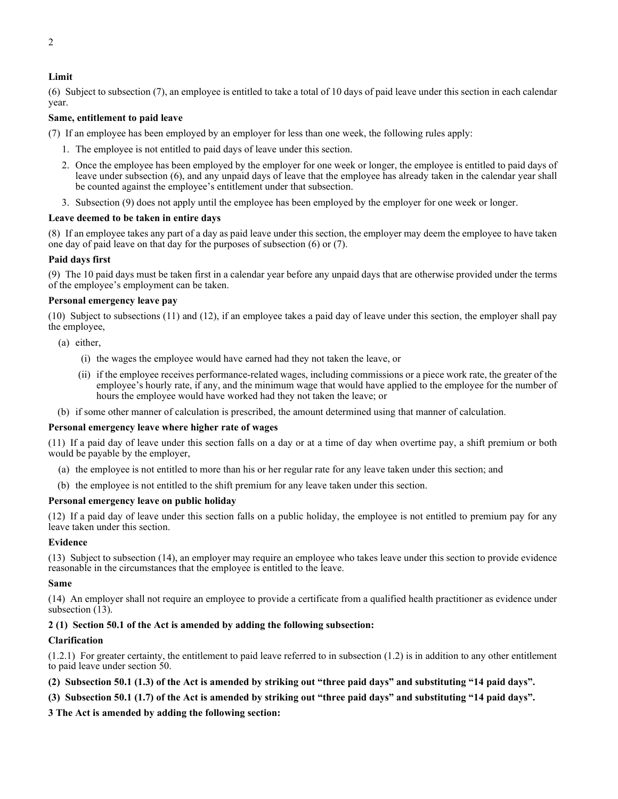## **Limit**

(6) Subject to subsection (7), an employee is entitled to take a total of 10 days of paid leave under this section in each calendar year.

### **Same, entitlement to paid leave**

(7) If an employee has been employed by an employer for less than one week, the following rules apply:

- 1. The employee is not entitled to paid days of leave under this section.
- 2. Once the employee has been employed by the employer for one week or longer, the employee is entitled to paid days of leave under subsection (6), and any unpaid days of leave that the employee has already taken in the calendar year shall be counted against the employee's entitlement under that subsection.
- 3. Subsection (9) does not apply until the employee has been employed by the employer for one week or longer.

#### **Leave deemed to be taken in entire days**

(8) If an employee takes any part of a day as paid leave under this section, the employer may deem the employee to have taken one day of paid leave on that day for the purposes of subsection (6) or (7).

#### **Paid days first**

(9) The 10 paid days must be taken first in a calendar year before any unpaid days that are otherwise provided under the terms of the employee's employment can be taken.

#### **Personal emergency leave pay**

(10) Subject to subsections (11) and (12), if an employee takes a paid day of leave under this section, the employer shall pay the employee,

- (a) either,
	- (i) the wages the employee would have earned had they not taken the leave, or
	- (ii) if the employee receives performance-related wages, including commissions or a piece work rate, the greater of the employee's hourly rate, if any, and the minimum wage that would have applied to the employee for the number of hours the employee would have worked had they not taken the leave; or
- (b) if some other manner of calculation is prescribed, the amount determined using that manner of calculation.

#### **Personal emergency leave where higher rate of wages**

(11) If a paid day of leave under this section falls on a day or at a time of day when overtime pay, a shift premium or both would be payable by the employer,

- (a) the employee is not entitled to more than his or her regular rate for any leave taken under this section; and
- (b) the employee is not entitled to the shift premium for any leave taken under this section.

#### **Personal emergency leave on public holiday**

(12) If a paid day of leave under this section falls on a public holiday, the employee is not entitled to premium pay for any leave taken under this section.

#### **Evidence**

(13) Subject to subsection (14), an employer may require an employee who takes leave under this section to provide evidence reasonable in the circumstances that the employee is entitled to the leave.

### **Same**

(14) An employer shall not require an employee to provide a certificate from a qualified health practitioner as evidence under subsection (13).

#### **2 (1) Section 50.1 of the Act is amended by adding the following subsection:**

#### **Clarification**

(1.2.1) For greater certainty, the entitlement to paid leave referred to in subsection (1.2) is in addition to any other entitlement to paid leave under section 50.

- **(2) Subsection 50.1 (1.3) of the Act is amended by striking out "three paid days" and substituting "14 paid days".**
- **(3) Subsection 50.1 (1.7) of the Act is amended by striking out "three paid days" and substituting "14 paid days".**
- **3 The Act is amended by adding the following section:**